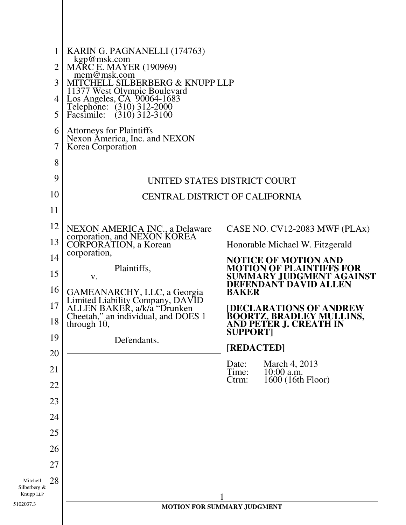|                                       | 1              | KARIN G. PAGNANELLI (174763)                                                                                                          |                                                                              |
|---------------------------------------|----------------|---------------------------------------------------------------------------------------------------------------------------------------|------------------------------------------------------------------------------|
|                                       | $\overline{2}$ | kgp@msk.com<br><b>MARC E. MAYER (190969)</b>                                                                                          |                                                                              |
|                                       | 3              | mem@msk.com<br>MITCHELL SILBERBERG & KNUPP LLP                                                                                        |                                                                              |
|                                       | 4              | 11377 West Olympic Boulevard<br>Los Angeles, CA 90064-1683                                                                            |                                                                              |
|                                       | 5              | Telephone: (310) 312-2000<br>Facsimile: (310) 312-3100                                                                                |                                                                              |
|                                       | 6              | <b>Attorneys for Plaintiffs</b>                                                                                                       |                                                                              |
|                                       | 7              | Nexon America, Inc. and NEXON<br>Korea Corporation                                                                                    |                                                                              |
|                                       | 8              |                                                                                                                                       |                                                                              |
|                                       | 9              |                                                                                                                                       | UNITED STATES DISTRICT COURT                                                 |
|                                       | 10             |                                                                                                                                       | <b>CENTRAL DISTRICT OF CALIFORNIA</b>                                        |
|                                       | 11             |                                                                                                                                       |                                                                              |
|                                       | 12             | NEXON AMERICA INC., a Delaware                                                                                                        | CASE NO. CV12-2083 MWF (PLAx)                                                |
|                                       | 13             | corporation, and NEXON KOREA<br><b>CORPORATION</b> , a Korean                                                                         | Honorable Michael W. Fitzgerald                                              |
|                                       | 14             | corporation,                                                                                                                          | <b>NOTICE OF MOTION AND</b>                                                  |
|                                       | 15             | Plaintiffs,<br>V.                                                                                                                     | <b>MOTION OF PLAINTIFFS FOR</b><br>SUMMARY JUDGMENT AGAINST                  |
|                                       | 16             |                                                                                                                                       | DEFENDANT DAVID ALLEN<br><b>BAKER</b>                                        |
|                                       | 17             | GAMEANARCHY, LLC, a Georgia<br>Limited Liability Company, DAVID<br>ALLEN BAKER, a/k/a "Drunken<br>Cheetah," an individual, and DOES 1 | [DECLARATIONS OF ANDREW                                                      |
|                                       | 18             | through 10,                                                                                                                           | <b>BOORTZ, BRADLEY MULLINS,</b><br>AND PETER J. CREATH IN<br><b>SUPPORT]</b> |
|                                       | 19             | Defendants.                                                                                                                           | [REDACTED]                                                                   |
|                                       | 20             |                                                                                                                                       | March 4, 2013<br>Date:                                                       |
|                                       | 21             |                                                                                                                                       | Time:<br>10:00 a.m.<br>1600 (16th Floor)<br>Ctrm:                            |
|                                       | 22             |                                                                                                                                       |                                                                              |
|                                       | 23             |                                                                                                                                       |                                                                              |
|                                       | 24             |                                                                                                                                       |                                                                              |
|                                       | 25             |                                                                                                                                       |                                                                              |
|                                       | 26             |                                                                                                                                       |                                                                              |
|                                       | 27             |                                                                                                                                       |                                                                              |
| Mitchell<br>Silberberg &<br>Knupp LLP | 28             |                                                                                                                                       |                                                                              |
| 5102037.3                             |                |                                                                                                                                       | 1<br>MOTION FOR SUMMARY JUDGMENT                                             |
|                                       |                |                                                                                                                                       |                                                                              |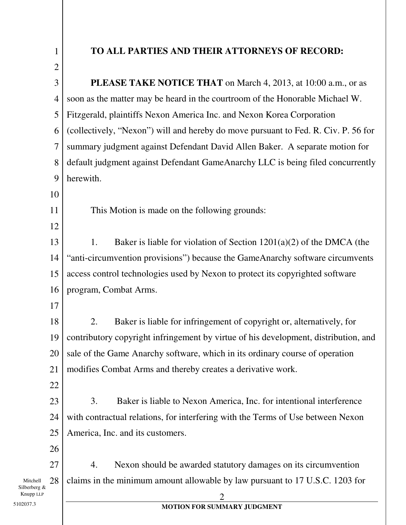| $\mathbf{1}$                   | TO ALL PARTIES AND THEIR ATTORNEYS OF RECORD:                                       |
|--------------------------------|-------------------------------------------------------------------------------------|
| $\overline{2}$                 |                                                                                     |
| 3                              | <b>PLEASE TAKE NOTICE THAT</b> on March 4, 2013, at 10:00 a.m., or as               |
| 4                              | soon as the matter may be heard in the courtroom of the Honorable Michael W.        |
| 5                              | Fitzgerald, plaintiffs Nexon America Inc. and Nexon Korea Corporation               |
| 6                              | (collectively, "Nexon") will and hereby do move pursuant to Fed. R. Civ. P. 56 for  |
| 7                              | summary judgment against Defendant David Allen Baker. A separate motion for         |
| 8                              | default judgment against Defendant GameAnarchy LLC is being filed concurrently      |
| 9                              | herewith.                                                                           |
| 10                             |                                                                                     |
| 11                             | This Motion is made on the following grounds:                                       |
| 12                             |                                                                                     |
| 13                             | Baker is liable for violation of Section $1201(a)(2)$ of the DMCA (the<br>1.        |
| 14                             | "anti-circumvention provisions") because the GameAnarchy software circumvents       |
| 15                             | access control technologies used by Nexon to protect its copyrighted software       |
| 16                             | program, Combat Arms.                                                               |
| 17                             |                                                                                     |
| 18                             | Baker is liable for infringement of copyright or, alternatively, for<br>2.          |
| 19                             | contributory copyright infringement by virtue of his development, distribution, and |
| 20                             | sale of the Game Anarchy software, which in its ordinary course of operation        |
| 21                             | modifies Combat Arms and thereby creates a derivative work.                         |
| 22                             |                                                                                     |
| 23                             | 3.<br>Baker is liable to Nexon America, Inc. for intentional interference           |
| 24                             | with contractual relations, for interfering with the Terms of Use between Nexon     |
| 25                             | America, Inc. and its customers.                                                    |
| 26                             |                                                                                     |
| 27                             | 4.<br>Nexon should be awarded statutory damages on its circumvention                |
| 28<br>Mitchell<br>Silberberg & | claims in the minimum amount allowable by law pursuant to 17 U.S.C. 1203 for        |
| Knupp LLP                      |                                                                                     |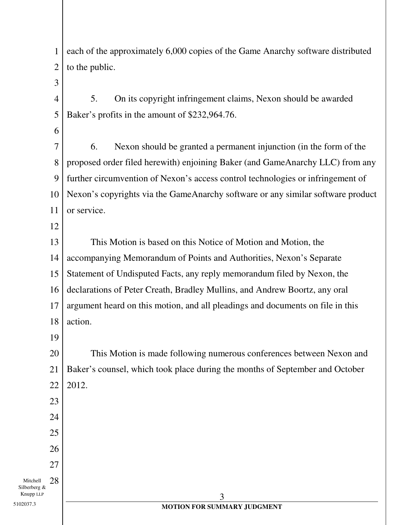1 2 each of the approximately 6,000 copies of the Game Anarchy software distributed to the public.

3

4 5 5. On its copyright infringement claims, Nexon should be awarded Baker's profits in the amount of \$232,964.76.

6

7 8 9 10 11 6. Nexon should be granted a permanent injunction (in the form of the proposed order filed herewith) enjoining Baker (and GameAnarchy LLC) from any further circumvention of Nexon's access control technologies or infringement of Nexon's copyrights via the GameAnarchy software or any similar software product or service.

12

13 14 15 16 17 18 This Motion is based on this Notice of Motion and Motion, the accompanying Memorandum of Points and Authorities, Nexon's Separate Statement of Undisputed Facts, any reply memorandum filed by Nexon, the declarations of Peter Creath, Bradley Mullins, and Andrew Boortz, any oral argument heard on this motion, and all pleadings and documents on file in this action.

19

23

24

25

26

27

20 21 22 This Motion is made following numerous conferences between Nexon and Baker's counsel, which took place during the months of September and October 2012.

Mitchell Silberberg & Knupp LLP 28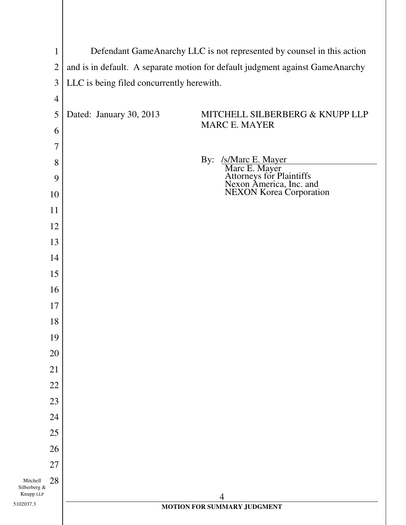|                          | $\mathbf{1}$   |                                           | Defendant GameAnarchy LLC is not represented by counsel in this action                                                  |
|--------------------------|----------------|-------------------------------------------|-------------------------------------------------------------------------------------------------------------------------|
|                          | $\mathfrak{2}$ |                                           | and is in default. A separate motion for default judgment against GameAnarchy                                           |
|                          | $\mathfrak{Z}$ | LLC is being filed concurrently herewith. |                                                                                                                         |
|                          | $\overline{4}$ |                                           |                                                                                                                         |
|                          | 5              | Dated: January 30, 2013                   | MITCHELL SILBERBERG & KNUPP LLP                                                                                         |
|                          | 6              |                                           | <b>MARC E. MAYER</b>                                                                                                    |
|                          | $\tau$         |                                           |                                                                                                                         |
|                          | 8              |                                           |                                                                                                                         |
|                          | 9              |                                           | By: /s/Marc E. Mayer<br>Marc E. Mayer<br>Attorneys for Plaintiffs<br>Nexon America, Inc. and<br>NEXON Korea Corporation |
|                          | 10             |                                           |                                                                                                                         |
|                          | 11             |                                           |                                                                                                                         |
|                          | 12             |                                           |                                                                                                                         |
|                          | 13             |                                           |                                                                                                                         |
|                          | 14             |                                           |                                                                                                                         |
|                          | 15             |                                           |                                                                                                                         |
|                          | 16             |                                           |                                                                                                                         |
|                          | 17             |                                           |                                                                                                                         |
|                          | 18             |                                           |                                                                                                                         |
|                          | 19             |                                           |                                                                                                                         |
|                          | 20             |                                           |                                                                                                                         |
|                          | 21             |                                           |                                                                                                                         |
|                          | 22             |                                           |                                                                                                                         |
|                          | 23             |                                           |                                                                                                                         |
|                          | 24             |                                           |                                                                                                                         |
|                          | 25             |                                           |                                                                                                                         |
|                          | 26             |                                           |                                                                                                                         |
|                          | 27             |                                           |                                                                                                                         |
| Mitchell<br>Silberberg & | 28             |                                           |                                                                                                                         |
| Knupp LLP<br>5102037.3   |                |                                           | $\overline{4}$<br>MOTION FOR SUMMARY JUDGMENT                                                                           |
|                          |                |                                           |                                                                                                                         |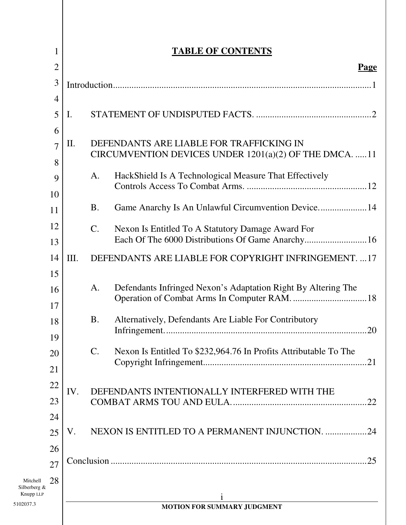|                           | 1              |                 | <b>TABLE OF CONTENTS</b>                                                                           |
|---------------------------|----------------|-----------------|----------------------------------------------------------------------------------------------------|
|                           | $\overline{2}$ |                 | <b>Page</b>                                                                                        |
|                           | 3              |                 |                                                                                                    |
|                           | $\overline{4}$ |                 |                                                                                                    |
|                           | 5              | I.              |                                                                                                    |
|                           | 6              |                 |                                                                                                    |
|                           | $\overline{7}$ | II.             | DEFENDANTS ARE LIABLE FOR TRAFFICKING IN<br>CIRCUMVENTION DEVICES UNDER 1201(a)(2) OF THE DMCA. 11 |
|                           | 8<br>9         | A.              | HackShield Is A Technological Measure That Effectively                                             |
|                           | 10             |                 |                                                                                                    |
|                           | 11             | <b>B.</b>       | Game Anarchy Is An Unlawful Circumvention Device 14                                                |
|                           | 12             | $\mathcal{C}$ . | Nexon Is Entitled To A Statutory Damage Award For                                                  |
|                           | 13             |                 |                                                                                                    |
|                           | 14             | Ш.              | DEFENDANTS ARE LIABLE FOR COPYRIGHT INFRINGEMENT. 17                                               |
|                           | 15             |                 |                                                                                                    |
|                           | 16             | A.              | Defendants Infringed Nexon's Adaptation Right By Altering The                                      |
|                           | 17             |                 |                                                                                                    |
|                           | 18<br>19       | <b>B.</b>       | Alternatively, Defendants Are Liable For Contributory                                              |
|                           | 20             | $\mathbf{C}$ .  | Nexon Is Entitled To \$232,964.76 In Profits Attributable To The                                   |
|                           | 21             |                 |                                                                                                    |
|                           | 22             |                 |                                                                                                    |
|                           | 23             | IV.             | DEFENDANTS INTENTIONALLY INTERFERED WITH THE                                                       |
|                           | 24             |                 |                                                                                                    |
|                           | 25             | V.              | NEXON IS ENTITLED TO A PERMANENT INJUNCTION. 24                                                    |
|                           | 26             |                 |                                                                                                    |
|                           | 27             |                 | .25                                                                                                |
| Mitchell                  | 28             |                 |                                                                                                    |
| Silberberg &<br>Knupp LLP |                |                 |                                                                                                    |
| 5102037.3                 |                |                 | MOTION FOR SUMMARY JUDGMENT                                                                        |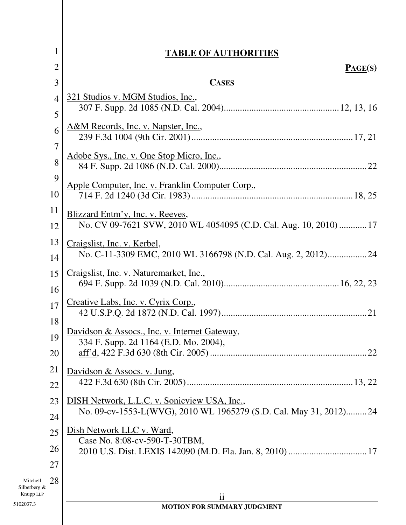|                           | $\mathbf 1$<br><b>TABLE OF AUTHORITIES</b>                                             |
|---------------------------|----------------------------------------------------------------------------------------|
|                           | $\overline{2}$<br>PAGE(S)                                                              |
|                           | <b>CASES</b><br>3                                                                      |
|                           | 321 Studios v. MGM Studios, Inc.,<br>$\overline{4}$                                    |
|                           | 5                                                                                      |
|                           | A&M Records, Inc. v. Napster, Inc.,<br>6                                               |
|                           | 7                                                                                      |
|                           | Adobe Sys., Inc. v. One Stop Micro, Inc.,<br>8                                         |
|                           | 9                                                                                      |
| 10                        | Apple Computer, Inc. v. Franklin Computer Corp.,                                       |
| 11                        | Blizzard Entm'y, Inc. v. Reeves,                                                       |
| 12                        | No. CV 09-7621 SVW, 2010 WL 4054095 (C.D. Cal. Aug. 10, 2010)  17                      |
| 13                        | Craigslist, Inc. v. Kerbel,                                                            |
| 14                        | No. C-11-3309 EMC, 2010 WL 3166798 (N.D. Cal. Aug. 2, 2012)24                          |
| 15                        | Craigslist, Inc. v. Naturemarket, Inc.,                                                |
| 16                        |                                                                                        |
| 17                        | Creative Labs, Inc. v. Cyrix Corp.,                                                    |
| 18                        |                                                                                        |
| 19                        | Davidson & Assocs., Inc. v. Internet Gateway,<br>334 F. Supp. 2d 1164 (E.D. Mo. 2004), |
| 20                        | .22                                                                                    |
| 21                        | Davidson & Assocs. v. Jung,                                                            |
| 22                        |                                                                                        |
| 23                        | DISH Network, L.L.C. v. Sonicview USA, Inc.,                                           |
| 24                        | No. 09-cv-1553-L(WVG), 2010 WL 1965279 (S.D. Cal. May 31, 2012)24                      |
| 25                        | Dish Network LLC v. Ward,                                                              |
| 26                        | Case No. 8:08-cv-590-T-30TBM,                                                          |
| 27                        |                                                                                        |
| 28<br>Mitchell            |                                                                                        |
| Silberberg &<br>Knupp LLP | $\mathbf{ii}$                                                                          |
| 5102037.3                 | MOTION FOR SUMMARY JUDGMENT                                                            |
|                           |                                                                                        |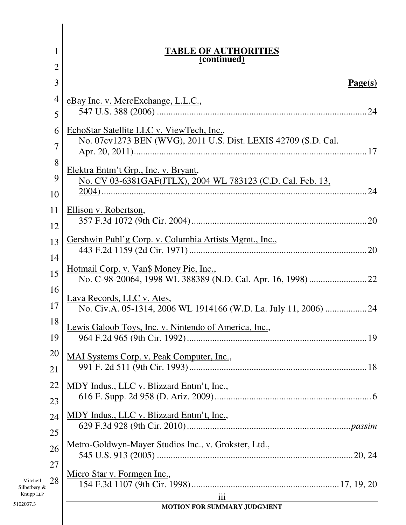| 1                         | <b>TABLE OF AUTHORITIES</b><br>(continued)                      |
|---------------------------|-----------------------------------------------------------------|
| $\overline{2}$            |                                                                 |
| 3                         | <u>Page(s)</u>                                                  |
| 4                         | eBay Inc. v. MercExchange, L.L.C.,                              |
| 5                         |                                                                 |
| 6                         | EchoStar Satellite LLC v. ViewTech, Inc.,                       |
| 7                         | No. 07cv1273 BEN (WVG), 2011 U.S. Dist. LEXIS 42709 (S.D. Cal.  |
| 8                         | Elektra Entm't Grp., Inc. v. Bryant,                            |
| 9                         | No. CV 03-6381GAF(JTLX), 2004 WL 783123 (C.D. Cal. Feb. 13,     |
| 10                        |                                                                 |
| 11                        | Ellison v. Robertson,                                           |
| 12                        |                                                                 |
| 13                        | Gershwin Publ'g Corp. v. Columbia Artists Mgmt., Inc.,          |
| 14                        | <u>Hotmail Corp. v. Van\$ Money Pie, Inc.,</u>                  |
| 15                        |                                                                 |
| 16                        | Lava Records, LLC v. Ates,                                      |
| 17                        | No. Civ.A. 05-1314, 2006 WL 1914166 (W.D. La. July 11, 2006) 24 |
| 18                        | Lewis Galoob Toys, Inc. v. Nintendo of America, Inc.,           |
| 19<br>20                  |                                                                 |
| 21                        | MAI Systems Corp. v. Peak Computer, Inc.,                       |
| 22                        | MDY Indus., LLC v. Blizzard Entm't, Inc.,                       |
| 23                        |                                                                 |
| 24                        | MDY Indus., LLC v. Blizzard Entm't, Inc.,                       |
| 25                        |                                                                 |
| 26                        | Metro-Goldwyn-Mayer Studios Inc., v. Grokster, Ltd.,            |
| 27                        |                                                                 |
| 28<br>Mitchell            | Micro Star v. Formgen Inc.,                                     |
| Silberberg &<br>Knupp LLP | iii                                                             |
| 5102037.3                 | MOTION FOR SUMMARY JUDGMENT                                     |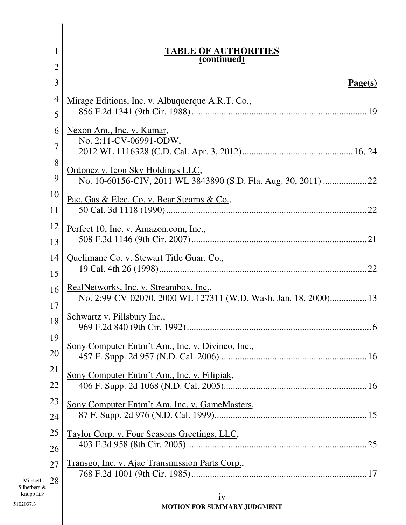|                          | 1              | <b>TABLE OF AUTHORITIES</b><br>(continued)                                                                |
|--------------------------|----------------|-----------------------------------------------------------------------------------------------------------|
|                          | $\overline{c}$ |                                                                                                           |
|                          | 3              | Page(s)                                                                                                   |
|                          | $\overline{4}$ | Mirage Editions, Inc. v. Albuquerque A.R.T. Co.,                                                          |
|                          | 5              |                                                                                                           |
|                          | 6              | Nexon Am., Inc. v. Kumar,                                                                                 |
|                          | 7              | No. 2:11-CV-06991-ODW,                                                                                    |
|                          | 8              |                                                                                                           |
|                          | 9              | Ordonez v. Icon Sky Holdings LLC,                                                                         |
|                          | 10             | Pac. Gas & Elec. Co. v. Bear Stearns & Co.,                                                               |
|                          | 11             |                                                                                                           |
|                          | 12             | Perfect 10, Inc. v. Amazon.com, Inc.,                                                                     |
|                          | 13             |                                                                                                           |
|                          | 14             | Quelimane Co. v. Stewart Title Guar. Co.,                                                                 |
|                          | 15             |                                                                                                           |
|                          | 16             | RealNetworks, Inc. v. Streambox, Inc.,<br>No. 2:99-CV-02070, 2000 WL 127311 (W.D. Wash. Jan. 18, 2000) 13 |
|                          | 17             |                                                                                                           |
|                          | 18             | Schwartz v. Pillsbury Inc.,                                                                               |
|                          | 19             |                                                                                                           |
|                          | 20             | Sony Computer Entm't Am., Inc. v. Divineo, Inc.,                                                          |
|                          | 21             | Sony Computer Entm't Am., Inc. v. Filipiak,                                                               |
|                          | 22             |                                                                                                           |
|                          | 23             | Sony Computer Entm't Am. Inc. v. GameMasters,                                                             |
|                          | 24             |                                                                                                           |
|                          | 25             | Taylor Corp. v. Four Seasons Greetings, LLC,                                                              |
|                          | 26             |                                                                                                           |
|                          | 27             | Transgo, Inc. v. Ajac Transmission Parts Corp.,                                                           |
| Mitchell<br>Silberberg & | 28             |                                                                                                           |
| Knupp LLP<br>5102037.3   |                | iv                                                                                                        |
|                          |                | MOTION FOR SUMMARY JUDGMENT                                                                               |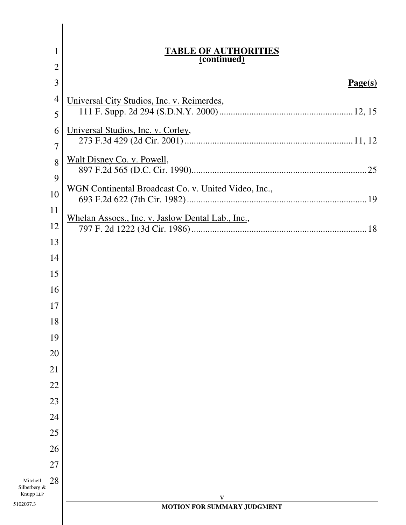|                                       | 1              | <b>TABLE OF AUTHORITIES</b><br>(continued)           |
|---------------------------------------|----------------|------------------------------------------------------|
|                                       | $\overline{2}$ |                                                      |
|                                       | 3              | Page(s)                                              |
|                                       | $\overline{4}$ | Universal City Studios, Inc. v. Reimerdes,           |
|                                       | 5              |                                                      |
|                                       | 6              | Universal Studios, Inc. v. Corley,                   |
|                                       | $\overline{7}$ |                                                      |
|                                       | 8              | Walt Disney Co. v. Powell,                           |
|                                       | 9              | WGN Continental Broadcast Co. v. United Video, Inc., |
|                                       | 10<br>11       |                                                      |
|                                       | 12             | Whelan Assocs., Inc. v. Jaslow Dental Lab., Inc.,    |
|                                       | 13             |                                                      |
|                                       | 14             |                                                      |
|                                       | 15             |                                                      |
|                                       | 16             |                                                      |
|                                       | 17             |                                                      |
|                                       | 18             |                                                      |
|                                       | 19             |                                                      |
|                                       | 20             |                                                      |
|                                       | 21             |                                                      |
|                                       | 22             |                                                      |
|                                       | 23             |                                                      |
|                                       | 24             |                                                      |
|                                       | 25             |                                                      |
|                                       | 26             |                                                      |
|                                       | 27             |                                                      |
| Mitchell<br>Silberberg &<br>Knupp LLP | 28             |                                                      |
| 5102037.3                             |                | $\mathbf V$<br>MOTION FOR SUMMARY JUDGMENT           |
|                                       |                |                                                      |

I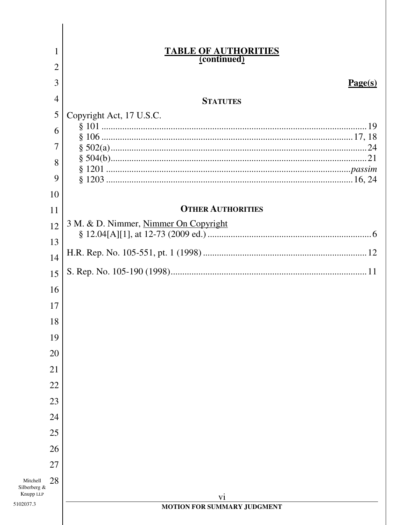|                          |                | <b>TABLE OF AUTHORITIES</b><br>(continued) |
|--------------------------|----------------|--------------------------------------------|
|                          | 2              |                                            |
|                          | 3              | Page(s)                                    |
|                          | 4              | <b>STATUTES</b>                            |
|                          | 5              | Copyright Act, 17 U.S.C.                   |
|                          | 6              |                                            |
|                          | $\overline{7}$ |                                            |
|                          | 8              |                                            |
|                          | 9              |                                            |
|                          | 10             |                                            |
|                          | 11             | <b>OTHER AUTHORITIES</b>                   |
|                          | 12             | 3 M. & D. Nimmer, Nimmer On Copyright      |
|                          | 13             |                                            |
|                          | 14             |                                            |
|                          | 15             |                                            |
|                          | 16             |                                            |
|                          | 17             |                                            |
|                          | 18             |                                            |
|                          | 19             |                                            |
|                          | 20             |                                            |
|                          | 21             |                                            |
|                          | 22             |                                            |
|                          | 23             |                                            |
|                          | 24             |                                            |
|                          | 25             |                                            |
|                          | 26             |                                            |
|                          | 27             |                                            |
| Mitchell<br>Silberberg & | 28             |                                            |
| Knupp LLP<br>102037.3    |                | vi<br>MOTION FOR SUMMARY JUDGMENT          |
|                          |                |                                            |
|                          |                |                                            |

I

5102037.3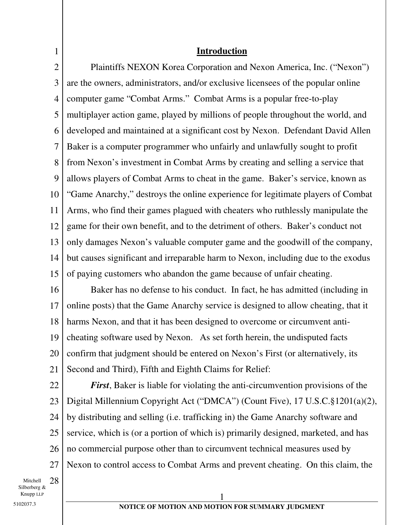### **Introduction**

2 3 4 5 6 7 8 9 10 11 12 13 14 15 Plaintiffs NEXON Korea Corporation and Nexon America, Inc. ("Nexon") are the owners, administrators, and/or exclusive licensees of the popular online computer game "Combat Arms." Combat Arms is a popular free-to-play multiplayer action game, played by millions of people throughout the world, and developed and maintained at a significant cost by Nexon. Defendant David Allen Baker is a computer programmer who unfairly and unlawfully sought to profit from Nexon's investment in Combat Arms by creating and selling a service that allows players of Combat Arms to cheat in the game. Baker's service, known as "Game Anarchy," destroys the online experience for legitimate players of Combat Arms, who find their games plagued with cheaters who ruthlessly manipulate the game for their own benefit, and to the detriment of others. Baker's conduct not only damages Nexon's valuable computer game and the goodwill of the company, but causes significant and irreparable harm to Nexon, including due to the exodus of paying customers who abandon the game because of unfair cheating.

16 17 18 19 20 21 Baker has no defense to his conduct. In fact, he has admitted (including in online posts) that the Game Anarchy service is designed to allow cheating, that it harms Nexon, and that it has been designed to overcome or circumvent anticheating software used by Nexon. As set forth herein, the undisputed facts confirm that judgment should be entered on Nexon's First (or alternatively, its Second and Third), Fifth and Eighth Claims for Relief:

22 23 24 25 26 27 *First*, Baker is liable for violating the anti-circumvention provisions of the Digital Millennium Copyright Act ("DMCA") (Count Five), 17 U.S.C.§1201(a)(2), by distributing and selling (i.e. trafficking in) the Game Anarchy software and service, which is (or a portion of which is) primarily designed, marketed, and has no commercial purpose other than to circumvent technical measures used by Nexon to control access to Combat Arms and prevent cheating. On this claim, the

Mitchell Silberberg & Knupp LLP 28

1

 $\sim$  1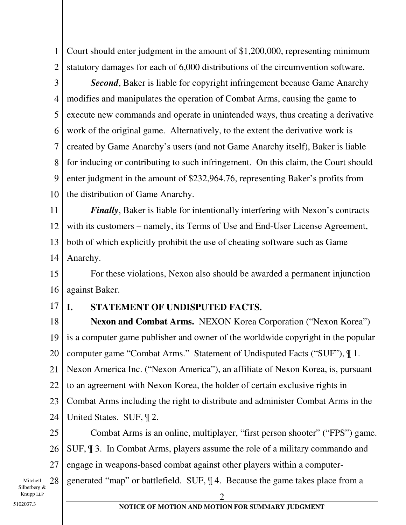1 2 Court should enter judgment in the amount of \$1,200,000, representing minimum statutory damages for each of 6,000 distributions of the circumvention software.

3 4 5 6 7 8 9 10 *Second*, Baker is liable for copyright infringement because Game Anarchy modifies and manipulates the operation of Combat Arms, causing the game to execute new commands and operate in unintended ways, thus creating a derivative work of the original game. Alternatively, to the extent the derivative work is created by Game Anarchy's users (and not Game Anarchy itself), Baker is liable for inducing or contributing to such infringement. On this claim, the Court should enter judgment in the amount of \$232,964.76, representing Baker's profits from the distribution of Game Anarchy.

11 12 13 14 *Finally*, Baker is liable for intentionally interfering with Nexon's contracts with its customers – namely, its Terms of Use and End-User License Agreement, both of which explicitly prohibit the use of cheating software such as Game Anarchy.

15 16 For these violations, Nexon also should be awarded a permanent injunction against Baker.

17

## **I. STATEMENT OF UNDISPUTED FACTS.**

2

18 19 20 21 22 23 24 **Nexon and Combat Arms.** NEXON Korea Corporation ("Nexon Korea") is a computer game publisher and owner of the worldwide copyright in the popular computer game "Combat Arms." Statement of Undisputed Facts ("SUF"), ¶ 1. Nexon America Inc. ("Nexon America"), an affiliate of Nexon Korea, is, pursuant to an agreement with Nexon Korea, the holder of certain exclusive rights in Combat Arms including the right to distribute and administer Combat Arms in the United States. SUF, ¶ 2.

25 26 27 Combat Arms is an online, multiplayer, "first person shooter" ("FPS") game. SUF, ¶ 3. In Combat Arms, players assume the role of a military commando and engage in weapons-based combat against other players within a computer-

generated "map" or battlefield. SUF, ¶ 4. Because the game takes place from a

Mitchell Silberberg & Knupp LLP 28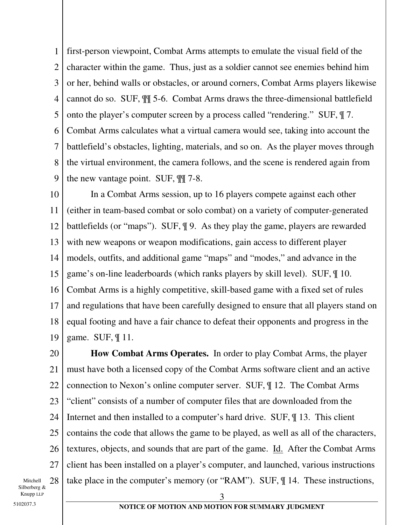1 2 3 4 5 6 7 8 9 first-person viewpoint, Combat Arms attempts to emulate the visual field of the character within the game. Thus, just as a soldier cannot see enemies behind him or her, behind walls or obstacles, or around corners, Combat Arms players likewise cannot do so. SUF, ¶¶ 5-6. Combat Arms draws the three-dimensional battlefield onto the player's computer screen by a process called "rendering." SUF, ¶ 7. Combat Arms calculates what a virtual camera would see, taking into account the battlefield's obstacles, lighting, materials, and so on. As the player moves through the virtual environment, the camera follows, and the scene is rendered again from the new vantage point. SUF, ¶¶ 7-8.

10 11 12 13 14 15 16 17 18 19 In a Combat Arms session, up to 16 players compete against each other (either in team-based combat or solo combat) on a variety of computer-generated battlefields (or "maps"). SUF, ¶ 9. As they play the game, players are rewarded with new weapons or weapon modifications, gain access to different player models, outfits, and additional game "maps" and "modes," and advance in the game's on-line leaderboards (which ranks players by skill level). SUF, ¶ 10. Combat Arms is a highly competitive, skill-based game with a fixed set of rules and regulations that have been carefully designed to ensure that all players stand on equal footing and have a fair chance to defeat their opponents and progress in the game. SUF, ¶ 11.

20 21 22 23 24 25 26 27 28 **How Combat Arms Operates.** In order to play Combat Arms, the player must have both a licensed copy of the Combat Arms software client and an active connection to Nexon's online computer server. SUF, ¶ 12. The Combat Arms "client" consists of a number of computer files that are downloaded from the Internet and then installed to a computer's hard drive. SUF, ¶ 13. This client contains the code that allows the game to be played, as well as all of the characters, textures, objects, and sounds that are part of the game. Id. After the Combat Arms client has been installed on a player's computer, and launched, various instructions take place in the computer's memory (or "RAM"). SUF, ¶ 14. These instructions,

Mitchell Silberberg & Knupp LLP

 $\overline{3}$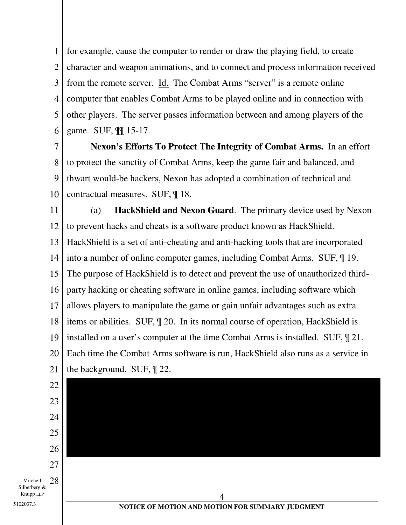1 2 3 4 5 6 for example, cause the computer to render or draw the playing field, to create character and weapon animations, and to connect and process information received from the remote server. Id. The Combat Arms "server" is a remote online computer that enables Combat Arms to be played online and in connection with other players. The server passes information between and among players of the game. SUF, ¶¶ 15-17.

7 8 9 10 **Nexon's Efforts To Protect The Integrity of Combat Arms.** In an effort to protect the sanctity of Combat Arms, keep the game fair and balanced, and thwart would-be hackers, Nexon has adopted a combination of technical and contractual measures. SUF, ¶ 18.

11 12 13 14 15 16 17 18 19 20 21 (a) **HackShield and Nexon Guard**. The primary device used by Nexon to prevent hacks and cheats is a software product known as HackShield. HackShield is a set of anti-cheating and anti-hacking tools that are incorporated into a number of online computer games, including Combat Arms. SUF, ¶ 19. The purpose of HackShield is to detect and prevent the use of unauthorized thirdparty hacking or cheating software in online games, including software which allows players to manipulate the game or gain unfair advantages such as extra items or abilities. SUF, ¶ 20. In its normal course of operation, HackShield is installed on a user's computer at the time Combat Arms is installed. SUF, ¶ 21. Each time the Combat Arms software is run, HackShield also runs as a service in the background. SUF, ¶ 22.

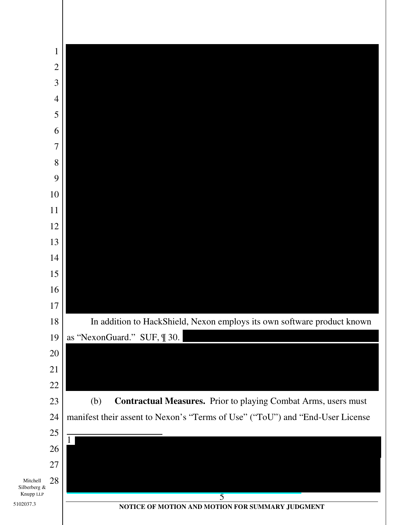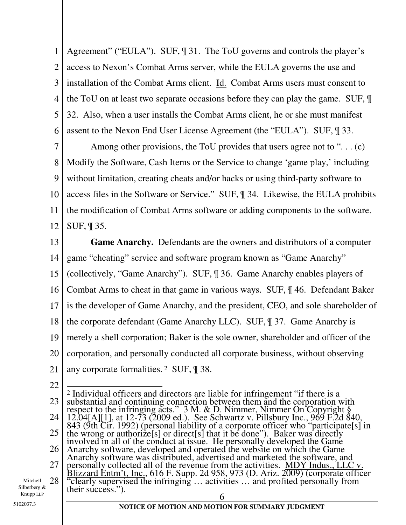1 2 3 4 5 6 Agreement" ("EULA"). SUF, ¶ 31. The ToU governs and controls the player's access to Nexon's Combat Arms server, while the EULA governs the use and installation of the Combat Arms client. Id. Combat Arms users must consent to the ToU on at least two separate occasions before they can play the game. SUF, ¶ 32. Also, when a user installs the Combat Arms client, he or she must manifest assent to the Nexon End User License Agreement (the "EULA"). SUF, ¶ 33.

7 8 9 10 11 12 Among other provisions, the ToU provides that users agree not to "... (c) Modify the Software, Cash Items or the Service to change 'game play,' including without limitation, creating cheats and/or hacks or using third-party software to access files in the Software or Service." SUF, ¶ 34. Likewise, the EULA prohibits the modification of Combat Arms software or adding components to the software. SUF, ¶ 35.

13 14 15 16 17 18 19 20 21 **Game Anarchy.** Defendants are the owners and distributors of a computer game "cheating" service and software program known as "Game Anarchy" (collectively, "Game Anarchy"). SUF, ¶ 36. Game Anarchy enables players of Combat Arms to cheat in that game in various ways. SUF, ¶ 46. Defendant Baker is the developer of Game Anarchy, and the president, CEO, and sole shareholder of the corporate defendant (Game Anarchy LLC). SUF, ¶ 37. Game Anarchy is merely a shell corporation; Baker is the sole owner, shareholder and officer of the corporation, and personally conducted all corporate business, without observing any corporate formalities. 2 SUF, ¶ 38.

22

23 24 25 26 27 28  $\sim$  6  $\overline{\phantom{a}}$ 2 Individual officers and directors are liable for infringement "if there is a substantial and continuing connection between them and the corporation with respect to the infringing acts."  $3 \text{ M}$ . & D. Nimmer, Nimmer On Copyright  $\S$ 12.04[A][1], at 12-73 (2009 ed.). See Schwartz v. Pillsbury Inc., 969 F.2d 840, 843 (9th Cir. 1992) (personal liability of a corporate officer who "participate[s] in the wrong or authorize[s] or direct[s] that it be done"). Baker was directly involved in all of the conduct at issue. He personally developed the Game Anarchy software, developed and operated the website on which the Game Anarchy software was distributed, advertised and marketed the software, and personally collected all of the revenue from the activities. MDY Indus., LLC v. Blizzard Entm't, Inc., 616 F. Supp. 2d 958, 973 (D. Ariz. 2009) (corporate officer "clearly supervised the infringing … activities … and profited personally from their success.").

Mitchell Silberberg & Knupp LLP

#### **NOTICE OF MOTION AND MOTION FOR SUMMARY JUDGMENT** 5102037.3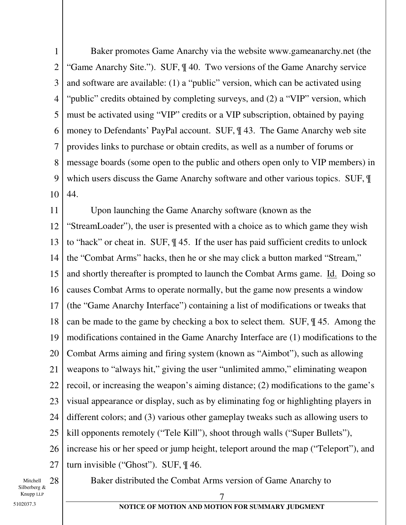1 2 3 4 5 6 7 8 9 10 Baker promotes Game Anarchy via the website www.gameanarchy.net (the "Game Anarchy Site."). SUF, ¶ 40. Two versions of the Game Anarchy service and software are available: (1) a "public" version, which can be activated using "public" credits obtained by completing surveys, and (2) a "VIP" version, which must be activated using "VIP" credits or a VIP subscription, obtained by paying money to Defendants' PayPal account. SUF, ¶ 43. The Game Anarchy web site provides links to purchase or obtain credits, as well as a number of forums or message boards (some open to the public and others open only to VIP members) in which users discuss the Game Anarchy software and other various topics. SUF, ¶ 44.

11 12 13 14 15 16 17 18 19 20 21 22 23 24 25 26 27 Upon launching the Game Anarchy software (known as the "StreamLoader"), the user is presented with a choice as to which game they wish to "hack" or cheat in. SUF, ¶ 45. If the user has paid sufficient credits to unlock the "Combat Arms" hacks, then he or she may click a button marked "Stream," and shortly thereafter is prompted to launch the Combat Arms game. Id. Doing so causes Combat Arms to operate normally, but the game now presents a window (the "Game Anarchy Interface") containing a list of modifications or tweaks that can be made to the game by checking a box to select them. SUF, ¶ 45. Among the modifications contained in the Game Anarchy Interface are (1) modifications to the Combat Arms aiming and firing system (known as "Aimbot"), such as allowing weapons to "always hit," giving the user "unlimited ammo," eliminating weapon recoil, or increasing the weapon's aiming distance; (2) modifications to the game's visual appearance or display, such as by eliminating fog or highlighting players in different colors; and (3) various other gameplay tweaks such as allowing users to kill opponents remotely ("Tele Kill"), shoot through walls ("Super Bullets"), increase his or her speed or jump height, teleport around the map ("Teleport"), and turn invisible ("Ghost"). SUF, ¶ 46.

Mitchell Silberberg & Knupp LLP 28 Baker distributed the Combat Arms version of Game Anarchy to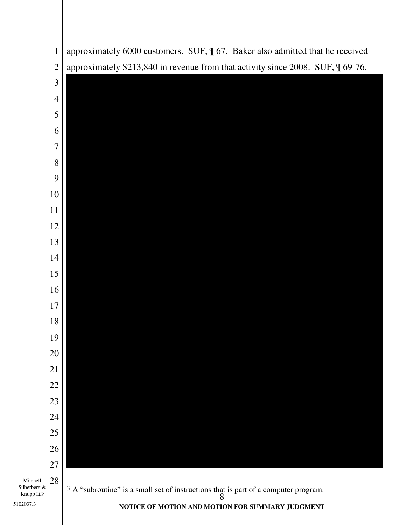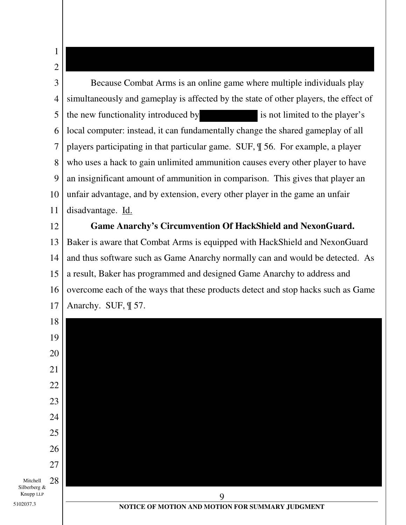3 4 5 6 7 8 9 10 11 Because Combat Arms is an online game where multiple individuals play simultaneously and gameplay is affected by the state of other players, the effect of the new functionality introduced by is not limited to the player's local computer: instead, it can fundamentally change the shared gameplay of all players participating in that particular game. SUF, ¶ 56. For example, a player who uses a hack to gain unlimited ammunition causes every other player to have an insignificant amount of ammunition in comparison. This gives that player an unfair advantage, and by extension, every other player in the game an unfair disadvantage. Id.

1

2

 $\overline{\phantom{a}}$ 

5102037.3

12 13 14 15 16 17 **Game Anarchy's Circumvention Of HackShield and NexonGuard.**  Baker is aware that Combat Arms is equipped with HackShield and NexonGuard and thus software such as Game Anarchy normally can and would be detected. As a result, Baker has programmed and designed Game Anarchy to address and overcome each of the ways that these products detect and stop hacks such as Game Anarchy. SUF, ¶ 57.

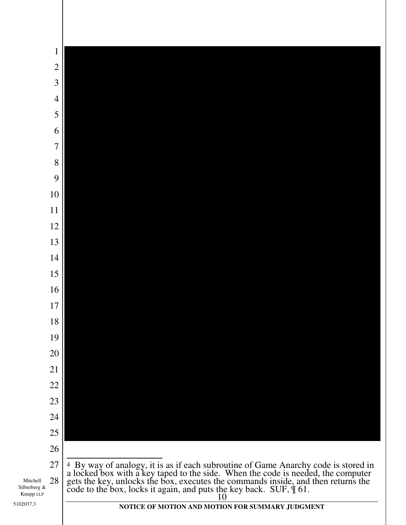| $\mathbf{1}$                                |                                                                                                                                                                                                                                        |
|---------------------------------------------|----------------------------------------------------------------------------------------------------------------------------------------------------------------------------------------------------------------------------------------|
| $\overline{c}$                              |                                                                                                                                                                                                                                        |
| $\overline{3}$                              |                                                                                                                                                                                                                                        |
| $\overline{4}$                              |                                                                                                                                                                                                                                        |
| 5                                           |                                                                                                                                                                                                                                        |
| 6                                           |                                                                                                                                                                                                                                        |
| $\overline{7}$                              |                                                                                                                                                                                                                                        |
| 8                                           |                                                                                                                                                                                                                                        |
| 9                                           |                                                                                                                                                                                                                                        |
| 10                                          |                                                                                                                                                                                                                                        |
| $11\,$                                      |                                                                                                                                                                                                                                        |
| 12                                          |                                                                                                                                                                                                                                        |
| 13                                          |                                                                                                                                                                                                                                        |
| 14                                          |                                                                                                                                                                                                                                        |
| 15                                          |                                                                                                                                                                                                                                        |
| 16                                          |                                                                                                                                                                                                                                        |
| 17                                          |                                                                                                                                                                                                                                        |
| 18                                          |                                                                                                                                                                                                                                        |
| 19                                          |                                                                                                                                                                                                                                        |
| 20                                          |                                                                                                                                                                                                                                        |
| 21                                          |                                                                                                                                                                                                                                        |
| 22<br>23                                    |                                                                                                                                                                                                                                        |
| 24                                          |                                                                                                                                                                                                                                        |
| 25                                          |                                                                                                                                                                                                                                        |
| 26                                          |                                                                                                                                                                                                                                        |
| 27                                          |                                                                                                                                                                                                                                        |
| 28<br>Mitchell<br>Silberberg &<br>Knupp LLP | <sup>4</sup> By way of analogy, it is as if each subroutine of Game Anarchy code is stored in a locked box with a key taped to the side. When the code is needed, the computer gets the key, unlocks the box, executes the commands in |
| 102037.3                                    | NOTICE OF MOTION AND MOTION FOR SUMMARY JUDGMENT                                                                                                                                                                                       |

5102037.3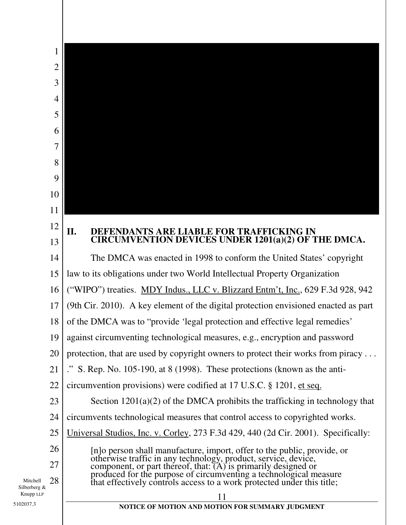|                                | 1                                                                                                                                                                                                     |
|--------------------------------|-------------------------------------------------------------------------------------------------------------------------------------------------------------------------------------------------------|
|                                | $\overline{2}$                                                                                                                                                                                        |
|                                | 3                                                                                                                                                                                                     |
|                                | 4                                                                                                                                                                                                     |
|                                | 5                                                                                                                                                                                                     |
|                                | 6                                                                                                                                                                                                     |
|                                | 7                                                                                                                                                                                                     |
|                                | 8                                                                                                                                                                                                     |
|                                | 9                                                                                                                                                                                                     |
| 10                             |                                                                                                                                                                                                       |
| 11                             |                                                                                                                                                                                                       |
| 12                             | II.<br>DEFENDANTS ARE LIABLE FOR TRAFFICKING IN                                                                                                                                                       |
| 13                             | CIRCUMVENTION DEVICES UNDER 1201(a)(2) OF THE DMCA.                                                                                                                                                   |
| 14                             | The DMCA was enacted in 1998 to conform the United States' copyright                                                                                                                                  |
| 15                             | law to its obligations under two World Intellectual Property Organization                                                                                                                             |
| 16                             | ("WIPO") treaties. MDY Indus., LLC v. Blizzard Entm't, Inc., 629 F.3d 928, 942                                                                                                                        |
| 17                             | (9th Cir. 2010). A key element of the digital protection envisioned enacted as part                                                                                                                   |
| 18                             | of the DMCA was to "provide 'legal protection and effective legal remedies'                                                                                                                           |
| 19                             | against circumventing technological measures, e.g., encryption and password                                                                                                                           |
| 20                             | protection, that are used by copyright owners to protect their works from piracy                                                                                                                      |
| 21                             | ." S. Rep. No. $105-190$ , at 8 (1998). These protections (known as the anti-                                                                                                                         |
| 22                             | circumvention provisions) were codified at 17 U.S.C. § 1201, et seq.                                                                                                                                  |
| 23                             | Section $1201(a)(2)$ of the DMCA prohibits the trafficking in technology that                                                                                                                         |
| 24                             | circumvents technological measures that control access to copyrighted works.                                                                                                                          |
| 25                             | Universal Studios, Inc. v. Corley, 273 F.3d 429, 440 (2d Cir. 2001). Specifically:                                                                                                                    |
| 26                             | [n]o person shall manufacture, import, offer to the public, provide, or                                                                                                                               |
| 27                             | otherwise traffic in any technology, product, service, device,<br>component, or part thereof, that: (A) is primarily designed or<br>produced for the purpose of circumventing a technological measure |
| 28<br>Mitchell<br>Silberberg & | that effectively controls access to a work protected under this title;                                                                                                                                |
| Knupp LLP<br>102037.3          | 11<br>NOTICE OF MOTION AND MOTION FOR SUMMARY JUDGMENT                                                                                                                                                |
|                                |                                                                                                                                                                                                       |

5102037.3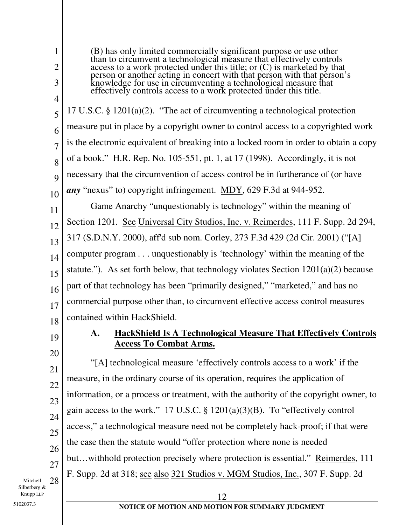3

4

5

6

7

8

9

10

1

2

(B) has only limited commercially significant purpose or use other than to circumvent a technological measure that effectively controls access to a work protected under this title; or (C) is marketed by that person or another acting in concert with that person with that person's knowledge for use in circumventing a technological measure that effectively controls access to a work protected under this title.

17 U.S.C. § 1201(a)(2). "The act of circumventing a technological protection measure put in place by a copyright owner to control access to a copyrighted work is the electronic equivalent of breaking into a locked room in order to obtain a copy of a book." H.R. Rep. No. 105-551, pt. 1, at 17 (1998). Accordingly, it is not necessary that the circumvention of access control be in furtherance of (or have *any* "nexus" to) copyright infringement. MDY, 629 F.3d at 944-952.

11 12 13 14 15 16 17 18 Game Anarchy "unquestionably is technology" within the meaning of Section 1201. See Universal City Studios, Inc. v. Reimerdes, 111 F. Supp. 2d 294, 317 (S.D.N.Y. 2000), aff'd sub nom. Corley, 273 F.3d 429 (2d Cir. 2001) ("[A] computer program . . . unquestionably is 'technology' within the meaning of the statute."). As set forth below, that technology violates Section  $1201(a)(2)$  because part of that technology has been "primarily designed," "marketed," and has no commercial purpose other than, to circumvent effective access control measures contained within HackShield.

19

20

21

22

23

24

25

26

27

# **A. HackShield Is A Technological Measure That Effectively Controls Access To Combat Arms.**

"[A] technological measure 'effectively controls access to a work' if the measure, in the ordinary course of its operation, requires the application of information, or a process or treatment, with the authority of the copyright owner, to gain access to the work." 17 U.S.C.  $\S$  1201(a)(3)(B). To "effectively control access," a technological measure need not be completely hack-proof; if that were the case then the statute would "offer protection where none is needed but…withhold protection precisely where protection is essential." Reimerdes, 111 F. Supp. 2d at 318; see also 321 Studios v. MGM Studios, Inc., 307 F. Supp. 2d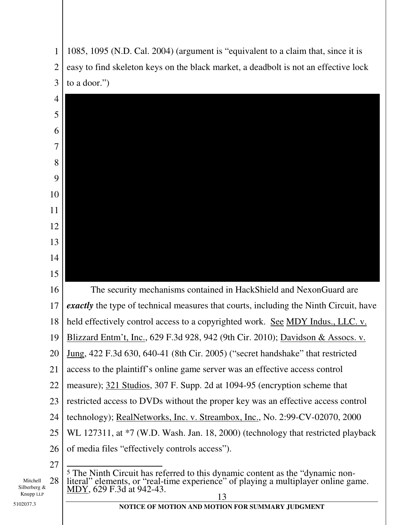



Mitchell Silberberg & Knupp LLP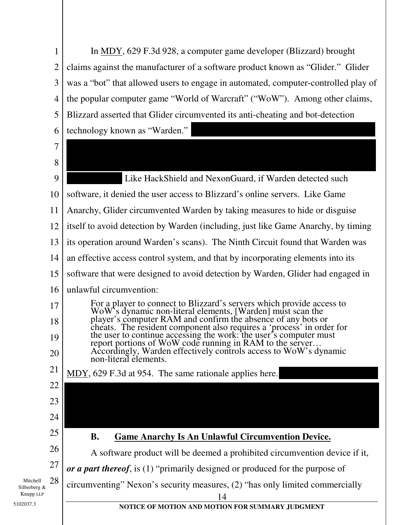| 1                                           | In <u>MDY</u> , 629 F.3d 928, a computer game developer (Blizzard) brought                                                                                                                             |
|---------------------------------------------|--------------------------------------------------------------------------------------------------------------------------------------------------------------------------------------------------------|
| $\overline{2}$                              | claims against the manufacturer of a software product known as "Glider." Glider                                                                                                                        |
| 3                                           | was a "bot" that allowed users to engage in automated, computer-controlled play of                                                                                                                     |
| $\overline{4}$                              | the popular computer game "World of Warcraft" ("WoW"). Among other claims,                                                                                                                             |
| 5                                           | Blizzard asserted that Glider circumvented its anti-cheating and bot-detection                                                                                                                         |
| 6                                           | technology known as "Warden."                                                                                                                                                                          |
| 7                                           |                                                                                                                                                                                                        |
| 8                                           |                                                                                                                                                                                                        |
| 9                                           | Like HackShield and NexonGuard, if Warden detected such                                                                                                                                                |
| 10                                          | software, it denied the user access to Blizzard's online servers. Like Game                                                                                                                            |
| 11                                          | Anarchy, Glider circumvented Warden by taking measures to hide or disguise                                                                                                                             |
| 12                                          | itself to avoid detection by Warden (including, just like Game Anarchy, by timing                                                                                                                      |
| 13                                          | its operation around Warden's scans). The Ninth Circuit found that Warden was                                                                                                                          |
| 14                                          | an effective access control system, and that by incorporating elements into its                                                                                                                        |
| 15                                          | software that were designed to avoid detection by Warden, Glider had engaged in                                                                                                                        |
| 16                                          | unlawful circumvention:                                                                                                                                                                                |
| 17                                          | For a player to connect to Blizzard's servers which provide access to WoW's dynamic non-literal elements, [Warden] must scan the player's computer RAM and confirm the absence of any bots or          |
| 18                                          |                                                                                                                                                                                                        |
| 19                                          | cheats. The resident component also requires a 'process' in order for<br>the user to continue accessing the work: the user's computer must<br>report portions of WoW code running in RAM to the server |
| 20                                          | Accordingly, Warden effectively controls access to WoW's dynamic<br>non-literal elements.                                                                                                              |
| 21                                          | MDY, 629 F.3d at 954. The same rationale applies here.                                                                                                                                                 |
| 22                                          |                                                                                                                                                                                                        |
| 23                                          |                                                                                                                                                                                                        |
| 24                                          |                                                                                                                                                                                                        |
| 25                                          | <b>Game Anarchy Is An Unlawful Circumvention Device.</b><br><b>B.</b>                                                                                                                                  |
| 26                                          | A software product will be deemed a prohibited circumvention device if it,                                                                                                                             |
| 27                                          | or a part thereof, is $(1)$ "primarily designed or produced for the purpose of                                                                                                                         |
| 28<br>Mitchell<br>Silberberg &<br>Knupp LLP | circumventing" Nexon's security measures, (2) "has only limited commercially                                                                                                                           |
| 102037.3                                    | 14<br>NOTICE OF MOTION AND MOTION FOR SUMMARY JUDGMENT                                                                                                                                                 |
|                                             |                                                                                                                                                                                                        |

5102037.3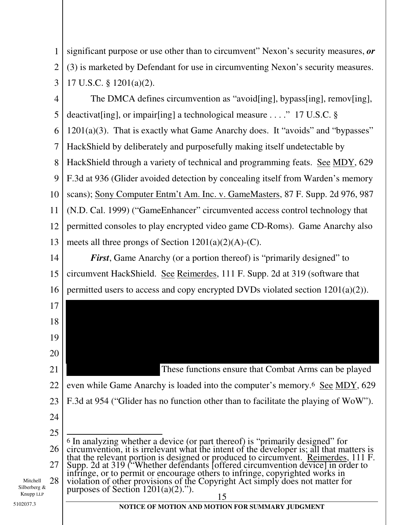1 2 3 significant purpose or use other than to circumvent" Nexon's security measures, *or* (3) is marketed by Defendant for use in circumventing Nexon's security measures. 17 U.S.C. § 1201(a)(2).

4 5 6 7 8 9 10 11 12 13 The DMCA defines circumvention as "avoid[ing], bypass[ing], remov[ing], deactivat[ing], or impair[ing] a technological measure . . . ." 17 U.S.C. §  $1201(a)(3)$ . That is exactly what Game Anarchy does. It "avoids" and "bypasses" HackShield by deliberately and purposefully making itself undetectable by HackShield through a variety of technical and programming feats. See MDY, 629 F.3d at 936 (Glider avoided detection by concealing itself from Warden's memory scans); Sony Computer Entm't Am. Inc. v. GameMasters, 87 F. Supp. 2d 976, 987 (N.D. Cal. 1999) ("GameEnhancer" circumvented access control technology that permitted consoles to play encrypted video game CD-Roms). Game Anarchy also meets all three prongs of Section  $1201(a)(2)(A)-(C)$ .

14 15 16 *First*, Game Anarchy (or a portion thereof) is "primarily designed" to circumvent HackShield. See Reimerdes, 111 F. Supp. 2d at 319 (software that permitted users to access and copy encrypted DVDs violated section 1201(a)(2)).

21 22 23 24 These functions ensure that Combat Arms can be played even while Game Anarchy is loaded into the computer's memory.<sup>6</sup> See MDY, 629 F.3d at 954 ("Glider has no function other than to facilitate the playing of WoW").

25 26 27 28  $\overline{\phantom{a}}$ 6 In analyzing whether a device (or part thereof) is "primarily designed" for circumvention, it is irrelevant what the intent of the developer is; all that matters is that the relevant portion is designed or produced to circumvent. Reimerdes, 111 F. Supp. 2d at 319 ("Whether defendants [offered circumvention device] in order to infringe, or to permit or encourage others to infringe, copyrighted works in violation of other provisions of the Copyright Act simply does not matter for purposes of Section  $1201(a)(2)$ .").

Mitchell Silberberg & Knupp LLP

17

18

19

20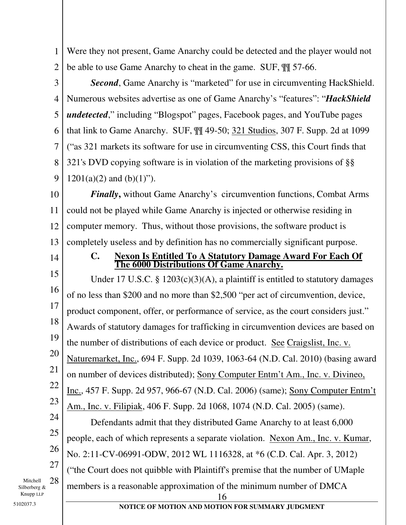1 2 Were they not present, Game Anarchy could be detected and the player would not be able to use Game Anarchy to cheat in the game. SUF, ¶¶ 57-66.

3

4 5 6 7 8 9 **Second**, Game Anarchy is "marketed" for use in circumventing HackShield. Numerous websites advertise as one of Game Anarchy's "features": "*HackShield undetected*," including "Blogspot" pages, Facebook pages, and YouTube pages that link to Game Anarchy. SUF, ¶¶ 49-50; 321 Studios, 307 F. Supp. 2d at 1099 ("as 321 markets its software for use in circumventing CSS, this Court finds that 321's DVD copying software is in violation of the marketing provisions of §§  $1201(a)(2)$  and  $(b)(1)$ ").

10 11 12 13 *Finally*, without Game Anarchy's circumvention functions, Combat Arms could not be played while Game Anarchy is injected or otherwise residing in computer memory. Thus, without those provisions, the software product is completely useless and by definition has no commercially significant purpose.

14

## **C. Nexon Is Entitled To A Statutory Damage Award For Each Of The 6000 Distributions Of Game Anarchy.**

15 16 17 18 19 20 21 22 23 Under 17 U.S.C. § 1203(c)(3)(A), a plaintiff is entitled to statutory damages of no less than \$200 and no more than \$2,500 "per act of circumvention, device, product component, offer, or performance of service, as the court considers just." Awards of statutory damages for trafficking in circumvention devices are based on the number of distributions of each device or product. See Craigslist, Inc. v. Naturemarket, Inc., 694 F. Supp. 2d 1039, 1063-64 (N.D. Cal. 2010) (basing award on number of devices distributed); Sony Computer Entm't Am., Inc. v. Divineo, Inc., 457 F. Supp. 2d 957, 966-67 (N.D. Cal. 2006) (same); Sony Computer Entm't Am., Inc. v. Filipiak, 406 F. Supp. 2d 1068, 1074 (N.D. Cal. 2005) (same).

24 25 26 27 28 16 Defendants admit that they distributed Game Anarchy to at least 6,000 people, each of which represents a separate violation. Nexon Am., Inc. v. Kumar, No. 2:11-CV-06991-ODW, 2012 WL 1116328, at \*6 (C.D. Cal. Apr. 3, 2012) ("the Court does not quibble with Plaintiff's premise that the number of UMaple members is a reasonable approximation of the minimum number of DMCA

Mitchell Silberberg & Knupp LLP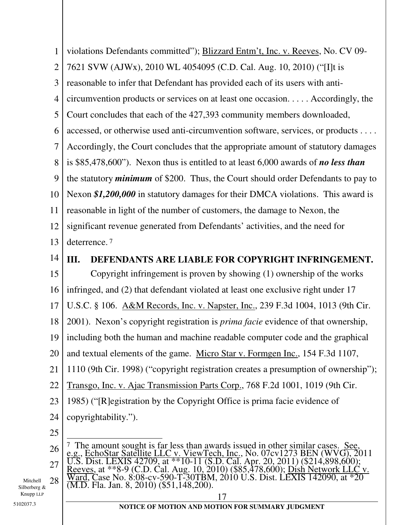1 2 3 4 5 6 7 8 9 10 11 12 13 14 15 16 17 18 19 20 21 22 23 24 25 26 27 28 17 **NOTICE OF MOTION AND MOTION FOR SUMMARY JUDGMENT** 5102037.3 violations Defendants committed"); Blizzard Entm't, Inc. v. Reeves, No. CV 09- 7621 SVW (AJWx), 2010 WL 4054095 (C.D. Cal. Aug. 10, 2010) ("[I]t is reasonable to infer that Defendant has provided each of its users with anticircumvention products or services on at least one occasion. . . . . Accordingly, the Court concludes that each of the 427,393 community members downloaded, accessed, or otherwise used anti-circumvention software, services, or products . . . . Accordingly, the Court concludes that the appropriate amount of statutory damages is \$85,478,600"). Nexon thus is entitled to at least 6,000 awards of *no less than* the statutory *minimum* of \$200. Thus, the Court should order Defendants to pay to Nexon *\$1,200,000* in statutory damages for their DMCA violations. This award is reasonable in light of the number of customers, the damage to Nexon, the significant revenue generated from Defendants' activities, and the need for deterrence. 7 **III. DEFENDANTS ARE LIABLE FOR COPYRIGHT INFRINGEMENT.**  Copyright infringement is proven by showing (1) ownership of the works infringed, and (2) that defendant violated at least one exclusive right under 17 U.S.C. § 106. A&M Records, Inc. v. Napster, Inc., 239 F.3d 1004, 1013 (9th Cir. 2001). Nexon's copyright registration is *prima facie* evidence of that ownership, including both the human and machine readable computer code and the graphical and textual elements of the game. Micro Star v. Formgen Inc., 154 F.3d 1107, 1110 (9th Cir. 1998) ("copyright registration creates a presumption of ownership"); Transgo, Inc. v. Ajac Transmission Parts Corp., 768 F.2d 1001, 1019 (9th Cir. 1985) ("[R]egistration by the Copyright Office is prima facie evidence of copyrightability.").  $\overline{a}$ <sup>7</sup> The amount sought is far less than awards issued in other similar cases. See, e.g., EchoStar Satellite LLC v. ViewTech, Inc., No. 07cv1273 BEN (WVG), 2011 U.S. Dist. LEXIS 42709, at \*\*10-11 (S.D. Cal. Apr. 20, 2011) (\$214,898,600); Reeves, at \*\*8-9 (C.D. Cal. Aug. 10, 2010) (\$85,478,600); Dish Network LLC v. Ward, Case No. 8:08-cv-590-T-30TBM, 2010 U.S. Dist. LEXIS 142090, at \*20  $\overline{(M.D.}$  Fla. Jan. 8, 2010) (\$51,148,200).

Mitchell Silberberg & Knupp LLP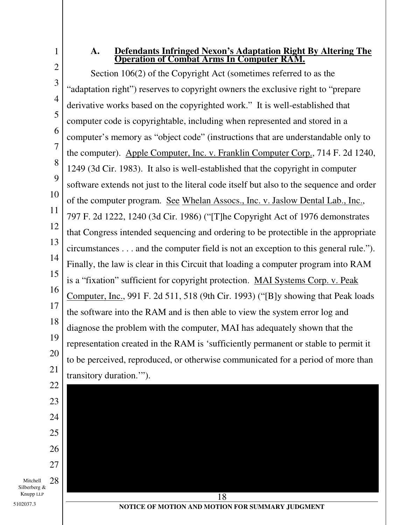2

1

### **A. Defendants Infringed Nexon's Adaptation Right By Altering The Operation of Combat Arms In Computer RAM.**

3 4 5 6 7 8 9 10 11 12 13 14 15 16 17 18 19 20 21 22 Section 106(2) of the Copyright Act (sometimes referred to as the "adaptation right") reserves to copyright owners the exclusive right to "prepare derivative works based on the copyrighted work." It is well-established that computer code is copyrightable, including when represented and stored in a computer's memory as "object code" (instructions that are understandable only to the computer). Apple Computer, Inc. v. Franklin Computer Corp., 714 F. 2d 1240, 1249 (3d Cir. 1983). It also is well-established that the copyright in computer software extends not just to the literal code itself but also to the sequence and order of the computer program. See Whelan Assocs., Inc. v. Jaslow Dental Lab., Inc., 797 F. 2d 1222, 1240 (3d Cir. 1986) ("[T]he Copyright Act of 1976 demonstrates that Congress intended sequencing and ordering to be protectible in the appropriate circumstances . . . and the computer field is not an exception to this general rule."). Finally, the law is clear in this Circuit that loading a computer program into RAM is a "fixation" sufficient for copyright protection. MAI Systems Corp. v. Peak Computer, Inc., 991 F. 2d 511, 518 (9th Cir. 1993) ("[B]y showing that Peak loads the software into the RAM and is then able to view the system error log and diagnose the problem with the computer, MAI has adequately shown that the representation created in the RAM is 'sufficiently permanent or stable to permit it to be perceived, reproduced, or otherwise communicated for a period of more than transitory duration.'").

Mitchell Silberberg & Knupp LLP 28

5102037.3

23

24

25

26

27

**NOTICE OF MOTION AND MOTION FOR SUMMARY JUDGMENT**

18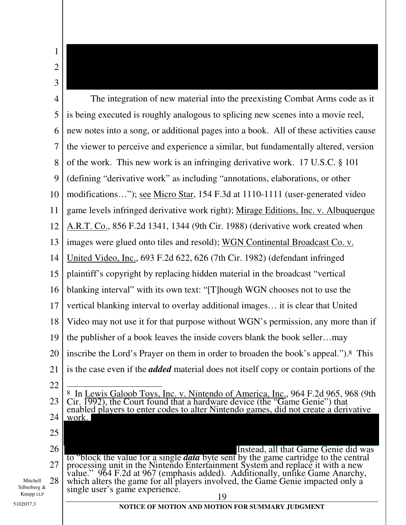1 2 3

Mitchell Silberberg & Knupp LLP

5102037.3

4 5 6 7 8 9 10 11 12 13 14 15 16 17 18 19 20 21 22 23 24 25 26 27 28 19 **NOTICE OF MOTION AND MOTION FOR SUMMARY JUDGMENT** The integration of new material into the preexisting Combat Arms code as it is being executed is roughly analogous to splicing new scenes into a movie reel, new notes into a song, or additional pages into a book. All of these activities cause the viewer to perceive and experience a similar, but fundamentally altered, version of the work. This new work is an infringing derivative work. 17 U.S.C. § 101 (defining "derivative work" as including "annotations, elaborations, or other modifications…"); see Micro Star, 154 F.3d at 1110-1111 (user-generated video game levels infringed derivative work right); Mirage Editions, Inc. v. Albuquerque A.R.T. Co., 856 F.2d 1341, 1344 (9th Cir. 1988) (derivative work created when images were glued onto tiles and resold); WGN Continental Broadcast Co. v. United Video, Inc., 693 F.2d 622, 626 (7th Cir. 1982) (defendant infringed plaintiff's copyright by replacing hidden material in the broadcast "vertical blanking interval" with its own text: "[T]hough WGN chooses not to use the vertical blanking interval to overlay additional images… it is clear that United Video may not use it for that purpose without WGN's permission, any more than if the publisher of a book leaves the inside covers blank the book seller…may inscribe the Lord's Prayer on them in order to broaden the book's appeal."). 8 This is the case even if the *added* material does not itself copy or contain portions of the  $\overline{a}$ 8 In Lewis Galoob Toys, Inc. v. Nintendo of America, Inc., 964 F.2d 965, 968 (9th Cir. 1992), the Court found that a hardware device (the "Game Genie") that enabled players to enter codes to alter Nintendo games, did not create a derivative work. Instead, all that Game Genie did was to "block the value for a single *data* byte sent by the game cartridge to the central processing unit in the Nintendo Entertainment System and replace it with a new value." 964 F.2d at 967 (emphasis added). Additionally, unlike Game Anarchy, which alters the game for all players involved, the Game Genie impacted only a single user's game experience.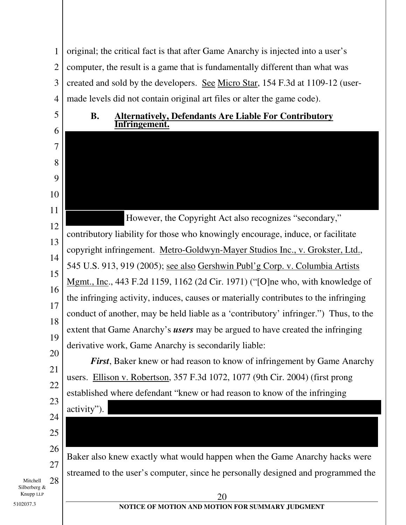1 2 3 4 original; the critical fact is that after Game Anarchy is injected into a user's computer, the result is a game that is fundamentally different than what was created and sold by the developers. See Micro Star, 154 F.3d at 1109-12 (usermade levels did not contain original art files or alter the game code).

**B. Alternatively, Defendants Are Liable For Contributory**

### 6 7 8 9 10 11 12 13 14 15 16 17 18 19 20 21 **Infringement.**  However, the Copyright Act also recognizes "secondary," contributory liability for those who knowingly encourage, induce, or facilitate copyright infringement. Metro-Goldwyn-Mayer Studios Inc., v. Grokster, Ltd., 545 U.S. 913, 919 (2005); see also Gershwin Publ'g Corp. v. Columbia Artists Mgmt., Inc., 443 F.2d 1159, 1162 (2d Cir. 1971) ("[O]ne who, with knowledge of the infringing activity, induces, causes or materially contributes to the infringing conduct of another, may be held liable as a 'contributory' infringer.") Thus, to the extent that Game Anarchy's *users* may be argued to have created the infringing derivative work, Game Anarchy is secondarily liable: *First*, Baker knew or had reason to know of infringement by Game Anarchy

users. Ellison v. Robertson, 357 F.3d 1072, 1077 (9th Cir. 2004) (first prong established where defendant "knew or had reason to know of the infringing activity").

25 26 27

22

23

24

5

Mitchell Silberberg & Knupp LLP 28

5102037.3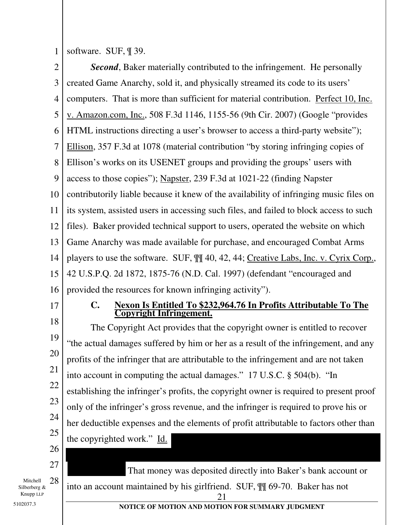1 software. SUF, ¶ 39.

2 3 4 5 6 7 8 9 10 11 12 13 14 15 16 17 *Second*, Baker materially contributed to the infringement. He personally created Game Anarchy, sold it, and physically streamed its code to its users' computers. That is more than sufficient for material contribution. Perfect 10, Inc. v. Amazon.com, Inc., 508 F.3d 1146, 1155-56 (9th Cir. 2007) (Google "provides HTML instructions directing a user's browser to access a third-party website"); Ellison, 357 F.3d at 1078 (material contribution "by storing infringing copies of Ellison's works on its USENET groups and providing the groups' users with access to those copies"); Napster, 239 F.3d at 1021-22 (finding Napster contributorily liable because it knew of the availability of infringing music files on its system, assisted users in accessing such files, and failed to block access to such files). Baker provided technical support to users, operated the website on which Game Anarchy was made available for purchase, and encouraged Combat Arms players to use the software. SUF, ¶¶ 40, 42, 44; Creative Labs, Inc. v. Cyrix Corp., 42 U.S.P.Q. 2d 1872, 1875-76 (N.D. Cal. 1997) (defendant "encouraged and provided the resources for known infringing activity"). **C. Nexon Is Entitled To \$232,964.76 In Profits Attributable To The Copyright Infringement.** 

18 19 20 21 22 23 24 25 26 The Copyright Act provides that the copyright owner is entitled to recover "the actual damages suffered by him or her as a result of the infringement, and any profits of the infringer that are attributable to the infringement and are not taken into account in computing the actual damages." 17 U.S.C. § 504(b). "In establishing the infringer's profits, the copyright owner is required to present proof only of the infringer's gross revenue, and the infringer is required to prove his or her deductible expenses and the elements of profit attributable to factors other than the copyrighted work." Id.

Mitchell Silberberg & Knupp LLP 28

5102037.3

27

21 into an account maintained by his girlfriend. SUF, ¶¶ 69-70. Baker has not

That money was deposited directly into Baker's bank account or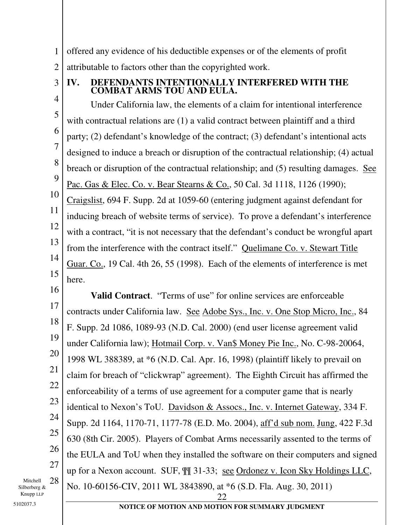1 2 offered any evidence of his deductible expenses or of the elements of profit attributable to factors other than the copyrighted work.

3

## **IV. DEFENDANTS INTENTIONALLY INTERFERED WITH THE COMBAT ARMS TOU AND EULA.**

4 5 6 7 8 9 10 11 12 13 14 15 Under California law, the elements of a claim for intentional interference with contractual relations are (1) a valid contract between plaintiff and a third party; (2) defendant's knowledge of the contract; (3) defendant's intentional acts designed to induce a breach or disruption of the contractual relationship; (4) actual breach or disruption of the contractual relationship; and (5) resulting damages. See Pac. Gas & Elec. Co. v. Bear Stearns & Co., 50 Cal. 3d 1118, 1126 (1990); Craigslist, 694 F. Supp. 2d at 1059-60 (entering judgment against defendant for inducing breach of website terms of service). To prove a defendant's interference with a contract, "it is not necessary that the defendant's conduct be wrongful apart from the interference with the contract itself." Quelimane Co. v. Stewart Title Guar. Co., 19 Cal. 4th 26, 55 (1998). Each of the elements of interference is met here.

16

17

18 19 20 21 22 23 24 25 26 27 28 <u>22</u> **Valid Contract**. "Terms of use" for online services are enforceable contracts under California law. See Adobe Sys., Inc. v. One Stop Micro, Inc., 84 F. Supp. 2d 1086, 1089-93 (N.D. Cal. 2000) (end user license agreement valid under California law); Hotmail Corp. v. Van\$ Money Pie Inc., No. C-98-20064, 1998 WL 388389, at \*6 (N.D. Cal. Apr. 16, 1998) (plaintiff likely to prevail on claim for breach of "clickwrap" agreement). The Eighth Circuit has affirmed the enforceability of a terms of use agreement for a computer game that is nearly identical to Nexon's ToU. Davidson & Assocs., Inc. v. Internet Gateway, 334 F. Supp. 2d 1164, 1170-71, 1177-78 (E.D. Mo. 2004), aff'd sub nom. Jung, 422 F.3d 630 (8th Cir. 2005). Players of Combat Arms necessarily assented to the terms of the EULA and ToU when they installed the software on their computers and signed up for a Nexon account. SUF, ¶¶ 31-33; see Ordonez v. Icon Sky Holdings LLC, No. 10-60156-CIV, 2011 WL 3843890, at \*6 (S.D. Fla. Aug. 30, 2011)

Mitchell Silberberg & Knupp LLP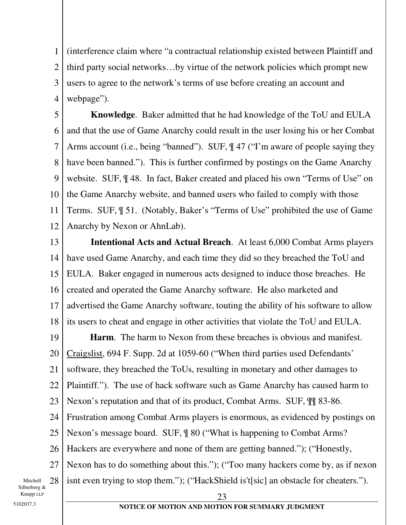1 2 3 4 (interference claim where "a contractual relationship existed between Plaintiff and third party social networks…by virtue of the network policies which prompt new users to agree to the network's terms of use before creating an account and webpage").

5 6 7 8 9 10 11 12 **Knowledge**. Baker admitted that he had knowledge of the ToU and EULA and that the use of Game Anarchy could result in the user losing his or her Combat Arms account (i.e., being "banned"). SUF, ¶ 47 ("I'm aware of people saying they have been banned."). This is further confirmed by postings on the Game Anarchy website. SUF, ¶ 48. In fact, Baker created and placed his own "Terms of Use" on the Game Anarchy website, and banned users who failed to comply with those Terms. SUF, ¶ 51. (Notably, Baker's "Terms of Use" prohibited the use of Game Anarchy by Nexon or AhnLab).

13 14 15 16 17 18  **Intentional Acts and Actual Breach**. At least 6,000 Combat Arms players have used Game Anarchy, and each time they did so they breached the ToU and EULA. Baker engaged in numerous acts designed to induce those breaches. He created and operated the Game Anarchy software. He also marketed and advertised the Game Anarchy software, touting the ability of his software to allow its users to cheat and engage in other activities that violate the ToU and EULA.

19 20 21 22 23 24 25 26 27 28 **Harm**.The harm to Nexon from these breaches is obvious and manifest. Craigslist, 694 F. Supp. 2d at 1059-60 ("When third parties used Defendants' software, they breached the ToUs, resulting in monetary and other damages to Plaintiff."). The use of hack software such as Game Anarchy has caused harm to Nexon's reputation and that of its product, Combat Arms. SUF, ¶¶ 83-86. Frustration among Combat Arms players is enormous, as evidenced by postings on Nexon's message board. SUF, ¶ 80 ("What is happening to Combat Arms? Hackers are everywhere and none of them are getting banned."); ("Honestly, Nexon has to do something about this."); ("Too many hackers come by, as if nexon isnt even trying to stop them."); ("HackShield is't[sic] an obstacle for cheaters.").

Mitchell Silberberg & Knupp LLP

23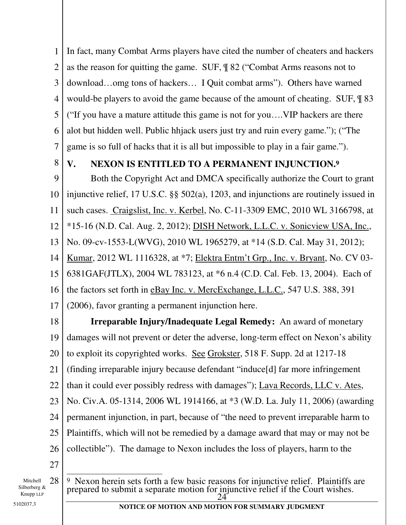1 2 3 4 5 6 7 In fact, many Combat Arms players have cited the number of cheaters and hackers as the reason for quitting the game. SUF, ¶ 82 ("Combat Arms reasons not to download…omg tons of hackers… I Quit combat arms"). Others have warned would-be players to avoid the game because of the amount of cheating. SUF, ¶ 83 ("If you have a mature attitude this game is not for you….VIP hackers are there alot but hidden well. Public hhjack users just try and ruin every game."); ("The game is so full of hacks that it is all but impossible to play in a fair game.").

8

# **V. NEXON IS ENTITLED TO A PERMANENT INJUNCTION.9**

9 10 11 12 13 14 15 16 17 Both the Copyright Act and DMCA specifically authorize the Court to grant injunctive relief, 17 U.S.C. §§ 502(a), 1203, and injunctions are routinely issued in such cases. Craigslist, Inc. v. Kerbel, No. C-11-3309 EMC, 2010 WL 3166798, at \*15-16 (N.D. Cal. Aug. 2, 2012); DISH Network, L.L.C. v. Sonicview USA, Inc., No. 09-cv-1553-L(WVG), 2010 WL 1965279, at \*14 (S.D. Cal. May 31, 2012); Kumar, 2012 WL 1116328, at \*7; Elektra Entm't Grp., Inc. v. Bryant, No. CV 03- 6381GAF(JTLX), 2004 WL 783123, at \*6 n.4 (C.D. Cal. Feb. 13, 2004). Each of the factors set forth in eBay Inc. v. MercExchange, L.L.C., 547 U.S. 388, 391 (2006), favor granting a permanent injunction here.

18 19 20 21 22 23 24 25 26 27 **Irreparable Injury/Inadequate Legal Remedy:** An award of monetary damages will not prevent or deter the adverse, long-term effect on Nexon's ability to exploit its copyrighted works. See Grokster, 518 F. Supp. 2d at 1217-18 (finding irreparable injury because defendant "induce[d] far more infringement than it could ever possibly redress with damages"); Lava Records, LLC v. Ates, No. Civ.A. 05-1314, 2006 WL 1914166, at \*3 (W.D. La. July 11, 2006) (awarding permanent injunction, in part, because of "the need to prevent irreparable harm to Plaintiffs, which will not be remedied by a damage award that may or may not be collectible"). The damage to Nexon includes the loss of players, harm to the

Mitchell Silberberg & Knupp LLP

28  $\frac{24^3}{ }$  $\overline{\phantom{a}}$ 9 Nexon herein sets forth a few basic reasons for injunctive relief. Plaintiffs are prepared to submit a separate motion for injunctive relief if the Court wishes.